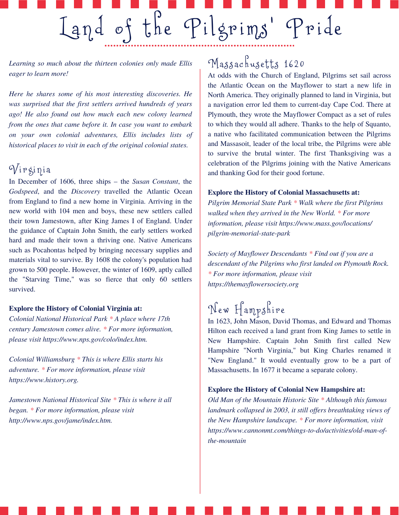*Learning so much about the thirteen colonies only made Ellis eager to learn more!*

*Here he shares some of his most interesting discoveries. He was surprised that the first settlers arrived hundreds of years ago! He also found out how much each new colony learned from the ones that came before it. In case you want to embark on your own colonial adventures, Ellis includes lists of historical places to visit in each of the original colonial states.*

### $\sqrt{\pi}$ i p gi ni a

In December of 1606, three ships – the *Susan Constant*, the *Godspeed*, and the *Discovery* travelled the Atlantic Ocean from England to find a new home in Virginia. Arriving in the new world with 104 men and boys, these new settlers called their town Jamestown, after King James I of England. Under the guidance of Captain John Smith, the early settlers worked hard and made their town a thriving one. Native Americans such as Pocahontas helped by bringing necessary supplies and materials vital to survive. By 1608 the colony's population had grown to 500 people. However, the winter of 1609, aptly called the "Starving Time," was so fierce that only 60 settlers survived.

#### **Explore the History of Colonial Virginia at:**

*Colonial National Historical Park \* A place where 17th century Jamestown comes alive. \* For more information, please visit https://www.nps.gov/colo/index.htm.*

*Colonial Williamsburg \* This is where Ellis starts his adventure. \* For more information, please visit https://www.history.org.*

*Jamestown National Historical Site \* This is where it all began. \* For more information, please visit http://www.nps.gov/jame/index.htm.*

## Massachusetts 1620

At odds with the Church of England, Pilgrims set sail across the Atlantic Ocean on the Mayflower to start a new life in North America. They originally planned to land in Virginia, but a navigation error led them to current-day Cape Cod. There at Plymouth, they wrote the Mayflower Compact as a set of rules to which they would all adhere. Thanks to the help of Squanto, a native who facilitated communication between the Pilgrims and Massasoit, leader of the local tribe, the Pilgrims were able to survive the brutal winter. The first Thanksgiving was a celebration of the Pilgrims joining with the Native Americans and thanking God for their good fortune.

#### **Explore the History of Colonial Massachusetts at:**

*Pilgrim Memorial State Park \* Walk where the first Pilgrims walked when they arrived in the New World. \* For more information, please visit https://www.mass.gov/locations/ pilgrim-memorial-state-park*

*Society of Mayflower Descendants \* Find out if you are a descendant of the Pilgrims who first landed on Plymouth Rock. \* For more information, please visit https://themayflowersociety.org*

# New Hampshire

In 1623, John Mason, David Thomas, and Edward and Thomas Hilton each received a land grant from King James to settle in New Hampshire. Captain John Smith first called New Hampshire "North Virginia," but King Charles renamed it "New England." It would eventually grow to be a part of Massachusetts. In 1677 it became a separate colony.

#### **Explore the History of Colonial New Hampshire at:**

*Old Man of the Mountain Historic Site \* Although this famous landmark collapsed in 2003, it still of ers breathtaking views of the New Hampshire landscape. \* For more information, visit https://www.cannonmt.com/things-to-do/activities/old-man-ofthe-mountain*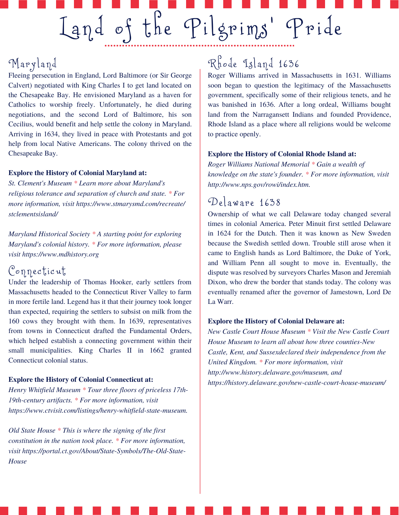## Ma ryl and

Fleeing persecution in England, Lord Baltimore (or Sir George Calvert) negotiated with King Charles I to get land located on the Chesapeake Bay. He envisioned Maryland as a haven for Catholics to worship freely. Unfortunately, he died during negotiations, and the second Lord of Baltimore, his son Cecilius, would benefit and help settle the colony in Maryland. Arriving in 1634, they lived in peace with Protestants and got help from local Native Americans. The colony thrived on the Chesapeake Bay.

#### **Explore the History of Colonial Maryland at:**

*St. Clement's Museum \* Learn more about Maryland's religious tolerance and separation of church and state. \* For more information, visit https://www.stmarysmd.com/recreate/ stclementsisland/*

*Maryland Historical Society \* A starting point for exploring Maryland's colonial history. \* For more information, please visit https://www.mdhistory.org*

### Connecticut

Under the leadership of Thomas Hooker, early settlers from Massachusetts headed to the Connecticut River Valley to farm in more fertile land. Legend has it that their journey took longer than expected, requiring the settlers to subsist on milk from the 160 cows they brought with them. In 1639, representatives from towns in Connecticut drafted the Fundamental Orders, which helped establish a connecting government within their small municipalities. King Charles II in 1662 granted Connecticut colonial status.

#### **Explore the History of Colonial Connecticut at:**

*Henry Whitfield Museum \* Tour three floors of priceless 17th-19th-century artifacts. \* For more information, visit https://www.ctvisit.com/listings/henry-whitfield-state-museum.*

*Old State House \* This is where the signing of the first constitution in the nation took place. \* For more information, visit https://portal.ct.gov/About/State-Symbols/The-Old-State-House*

## Rhode Island 1636

Roger Williams arrived in Massachusetts in 1631. Williams soon began to question the legitimacy of the Massachusetts government, specifically some of their religious tenets, and he was banished in 1636. After a long ordeal, Williams bought land from the Narragansett Indians and founded Providence, Rhode Island as a place where all religions would be welcome to practice openly.

#### **Explore the History of Colonial Rhode Island at:**

*Roger Williams National Memorial \* Gain a wealth of knowledge on the state's founder. \* For more information, visit http://www.nps.gov/rowi/index.htm.*

### $\mathcal{D}_{\ell}$  aware 1638

Ownership of what we call Delaware today changed several times in colonial America. Peter Minuit first settled Delaware in 1624 for the Dutch. Then it was known as New Sweden because the Swedish settled down. Trouble still arose when it came to English hands as Lord Baltimore, the Duke of York, and William Penn all sought to move in. Eventually, the dispute was resolved by surveyors Charles Mason and Jeremiah Dixon, who drew the border that stands today. The colony was eventually renamed after the governor of Jamestown, Lord De La Warr.

#### **Explore the History of Colonial Delaware at:**

*New Castle Court House Museum \* Visit the New Castle Court House Museum to learn all about how three counties-New Castle, Kent, and Sussexdeclared their independence from the United Kingdom. \* For more information, visit http://www.history.delaware.gov/museum, and https://history.delaware.gov/new-castle-court-house-museum/*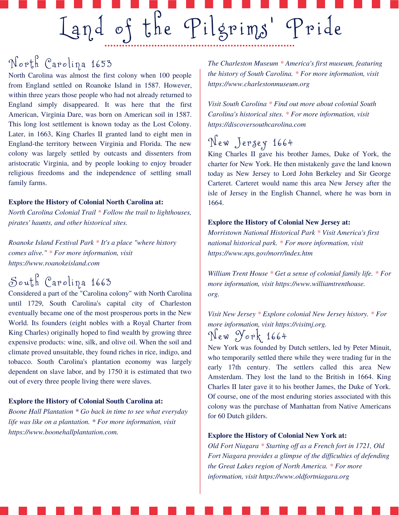## North Carolina 1653

North Carolina was almost the first colony when 100 people from England settled on Roanoke Island in 1587. However, within three years those people who had not already returned to England simply disappeared. It was here that the first American, Virginia Dare, was born on American soil in 1587. This long lost settlement is known today as the Lost Colony. Later, in 1663, King Charles II granted land to eight men in England-the territory between Virginia and Florida. The new colony was largely settled by outcasts and dissenters from aristocratic Virginia, and by people looking to enjoy broader religious freedoms and the independence of settling small family farms.

#### **Explore the History of Colonial North Carolina at:**

*North Carolina Colonial Trail \* Follow the trail to lighthouses, pirates' haunts, and other historical sites.*

*Roanoke Island Festival Park \* It's a place "where history comes alive." \* For more information, visit https://www.roanokeisland.com*

## South Carolina 1663

Considered a part of the "Carolina colony" with North Carolina until 1729, South Carolina's capital city of Charleston eventually became one of the most prosperous ports in the New World. Its founders (eight nobles with a Royal Charter from King Charles) originally hoped to find wealth by growing three expensive products: wine, silk, and olive oil. When the soil and climate proved unsuitable, they found riches in rice, indigo, and tobacco. South Carolina's plantation economy was largely dependent on slave labor, and by 1750 it is estimated that two out of every three people living there were slaves.

#### **Explore the History of Colonial South Carolina at:**

*Boone Hall Plantation \* Go back in time to see what everyday life was like on a plantation. \* For more information, visit https://www.boonehallplantation.com.*

*The Charleston Museum \* America's first museum, featuring the history of South Carolina. \* For more information, visit https://www.charlestonmuseum.org*

*Visit South Carolina \* Find out more about colonial South Carolina's historical sites. \* For more information, visit https://discoversouthcarolina.com*

## New Jersey 1664

King Charles II gave his brother James, Duke of York, the charter for New York. He then mistakenly gave the land known today as New Jersey to Lord John Berkeley and Sir George Carteret. Carteret would name this area New Jersey after the isle of Jersey in the English Channel, where he was born in 1664.

#### **Explore the History of Colonial New Jersey at:**

*Morristown National Historical Park \* Visit America's first national historical park. \* For more information, visit https://www.nps.gov/morr/index.htm*

*William Trent House \* Get a sense of colonial family life. \* For more information, visit https://www.williamtrenthouse. org.*

*Visit New Jersey \* Explore colonial New Jersey history. \* For more information, visit https://visitnj.org.*

### New York 1664

New York was founded by Dutch settlers, led by Peter Minuit, who temporarily settled there while they were trading fur in the early 17th century. The settlers called this area New Amsterdam. They lost the land to the British in 1664. King Charles II later gave it to his brother James, the Duke of York. Of course, one of the most enduring stories associated with this colony was the purchase of Manhattan from Native Americans for 60 Dutch gilders.

#### **Explore the History of Colonial New York at:**

*Old Fort Niagara \* Starting of as a French fort in 1721, Old Fort Niagara provides a glimpse of the dif iculties of defending the Great Lakes region of North America. \* For more information, visit https://www.oldfortniagara.org*